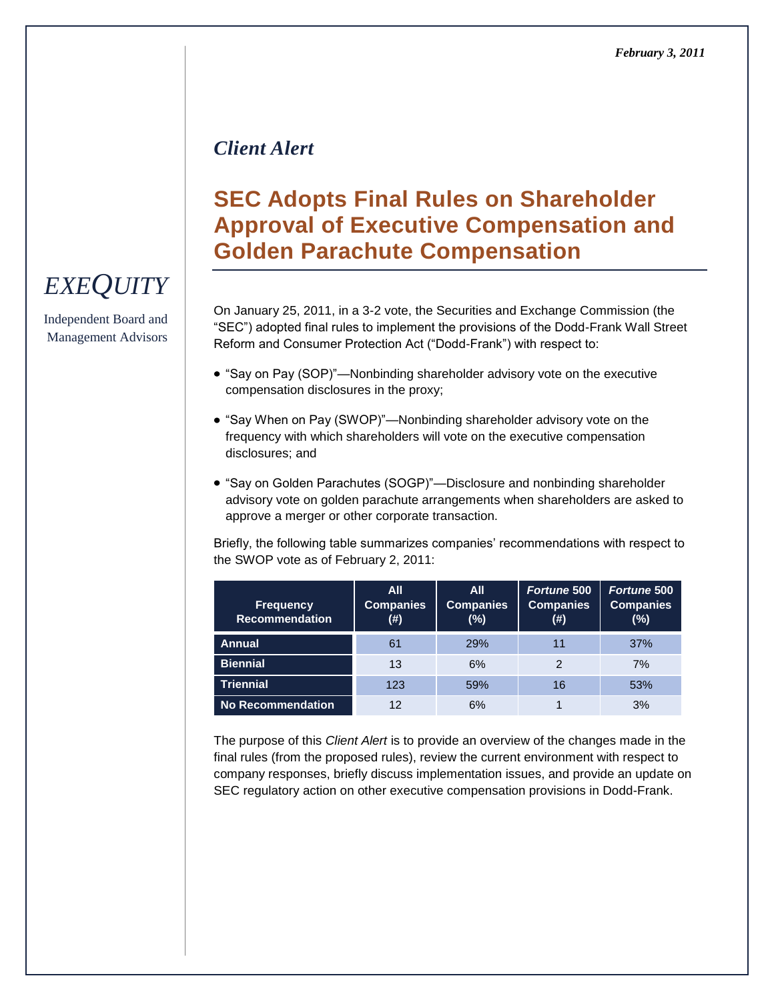### *Client Alert*

## **SEC Adopts Final Rules on Shareholder Approval of Executive Compensation and Golden Parachute Compensation**

On January 25, 2011, in a 3-2 vote, the Securities and Exchange Commission (the ―SEC‖) adopted final rules to implement the provisions of the Dodd-Frank Wall Street Reform and Consumer Protection Act ("Dodd-Frank") with respect to:

- "Say on Pay (SOP)"—Nonbinding shareholder advisory vote on the executive compensation disclosures in the proxy;
- "Say When on Pay (SWOP)"—Nonbinding shareholder advisory vote on the frequency with which shareholders will vote on the executive compensation disclosures; and
- "Say on Golden Parachutes (SOGP)"—Disclosure and nonbinding shareholder advisory vote on golden parachute arrangements when shareholders are asked to approve a merger or other corporate transaction.

Briefly, the following table summarizes companies' recommendations with respect to the SWOP vote as of February 2, 2011:

| <b>Frequency</b><br><b>Recommendation</b> | <b>All</b><br><b>Companies</b><br>(#) | <b>All</b><br><b>Companies</b><br>$(\%)$ | <b>Fortune 500</b><br><b>Companies</b><br>(#) | <b>Fortune 500</b><br><b>Companies</b><br>$(\%)$ |
|-------------------------------------------|---------------------------------------|------------------------------------------|-----------------------------------------------|--------------------------------------------------|
| <b>Annual</b>                             | 61                                    | <b>29%</b>                               | 11                                            | 37%                                              |
| <b>Biennial</b>                           | 13                                    | 6%                                       |                                               | 7%                                               |
| <b>Triennial</b>                          | 123                                   | 59%                                      | 16                                            | 53%                                              |
| <b>No Recommendation</b>                  | 12                                    | 6%                                       |                                               | 3%                                               |

The purpose of this *Client Alert* is to provide an overview of the changes made in the final rules (from the proposed rules), review the current environment with respect to company responses, briefly discuss implementation issues, and provide an update on SEC regulatory action on other executive compensation provisions in Dodd-Frank.

# *EXEQUITY*

Independent Board and Management Advisors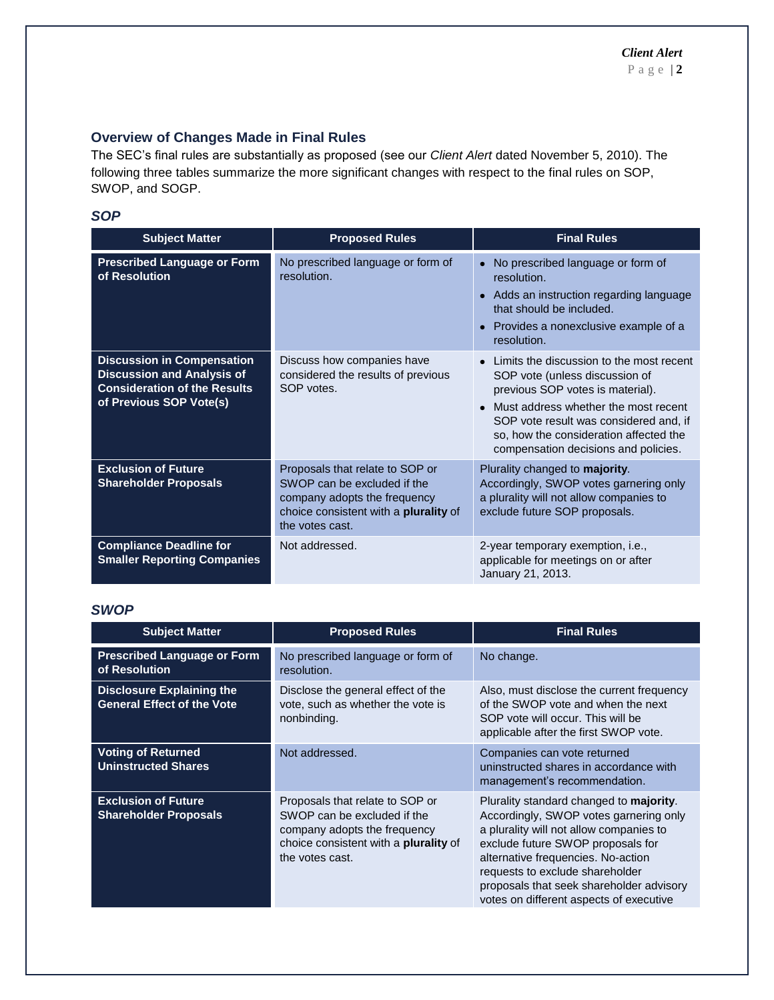#### **Overview of Changes Made in Final Rules**

The SEC's final rules are substantially as proposed (see our *Client Alert* dated November 5, 2010). The following three tables summarize the more significant changes with respect to the final rules on SOP, SWOP, and SOGP.

#### *SOP*

| <b>Subject Matter</b>                                                                                                                    | <b>Proposed Rules</b>                                                                                                                                             | <b>Final Rules</b>                                                                                                                                                                                                                                                                 |
|------------------------------------------------------------------------------------------------------------------------------------------|-------------------------------------------------------------------------------------------------------------------------------------------------------------------|------------------------------------------------------------------------------------------------------------------------------------------------------------------------------------------------------------------------------------------------------------------------------------|
| <b>Prescribed Language or Form</b><br>of Resolution                                                                                      | No prescribed language or form of<br>resolution.                                                                                                                  | No prescribed language or form of<br>resolution.<br>• Adds an instruction regarding language<br>that should be included.<br>• Provides a nonexclusive example of a<br>resolution.                                                                                                  |
| <b>Discussion in Compensation</b><br><b>Discussion and Analysis of</b><br><b>Consideration of the Results</b><br>of Previous SOP Vote(s) | Discuss how companies have<br>considered the results of previous<br>SOP votes.                                                                                    | Limits the discussion to the most recent<br>SOP vote (unless discussion of<br>previous SOP votes is material).<br>Must address whether the most recent<br>SOP vote result was considered and, if<br>so, how the consideration affected the<br>compensation decisions and policies. |
| <b>Exclusion of Future</b><br><b>Shareholder Proposals</b>                                                                               | Proposals that relate to SOP or<br>SWOP can be excluded if the<br>company adopts the frequency<br>choice consistent with a <b>plurality</b> of<br>the votes cast. | Plurality changed to majority.<br>Accordingly, SWOP votes garnering only<br>a plurality will not allow companies to<br>exclude future SOP proposals.                                                                                                                               |
| <b>Compliance Deadline for</b><br><b>Smaller Reporting Companies</b>                                                                     | Not addressed.                                                                                                                                                    | 2-year temporary exemption, i.e.,<br>applicable for meetings on or after<br>January 21, 2013.                                                                                                                                                                                      |

#### *SWOP*

| <b>Subject Matter</b>                                                 | <b>Proposed Rules</b>                                                                                                                                             | <b>Final Rules</b>                                                                                                                                                                                                                                                                                                                        |
|-----------------------------------------------------------------------|-------------------------------------------------------------------------------------------------------------------------------------------------------------------|-------------------------------------------------------------------------------------------------------------------------------------------------------------------------------------------------------------------------------------------------------------------------------------------------------------------------------------------|
| <b>Prescribed Language or Form</b><br>of Resolution                   | No prescribed language or form of<br>resolution.                                                                                                                  | No change.                                                                                                                                                                                                                                                                                                                                |
| <b>Disclosure Explaining the</b><br><b>General Effect of the Vote</b> | Disclose the general effect of the<br>vote, such as whether the vote is<br>nonbinding.                                                                            | Also, must disclose the current frequency<br>of the SWOP vote and when the next<br>SOP vote will occur. This will be<br>applicable after the first SWOP vote.                                                                                                                                                                             |
| <b>Voting of Returned</b><br><b>Uninstructed Shares</b>               | Not addressed.                                                                                                                                                    | Companies can vote returned<br>uninstructed shares in accordance with<br>management's recommendation.                                                                                                                                                                                                                                     |
| <b>Exclusion of Future</b><br><b>Shareholder Proposals</b>            | Proposals that relate to SOP or<br>SWOP can be excluded if the<br>company adopts the frequency<br>choice consistent with a <b>plurality</b> of<br>the votes cast. | Plurality standard changed to <b>majority</b> .<br>Accordingly, SWOP votes garnering only<br>a plurality will not allow companies to<br>exclude future SWOP proposals for<br>alternative frequencies. No-action<br>requests to exclude shareholder<br>proposals that seek shareholder advisory<br>votes on different aspects of executive |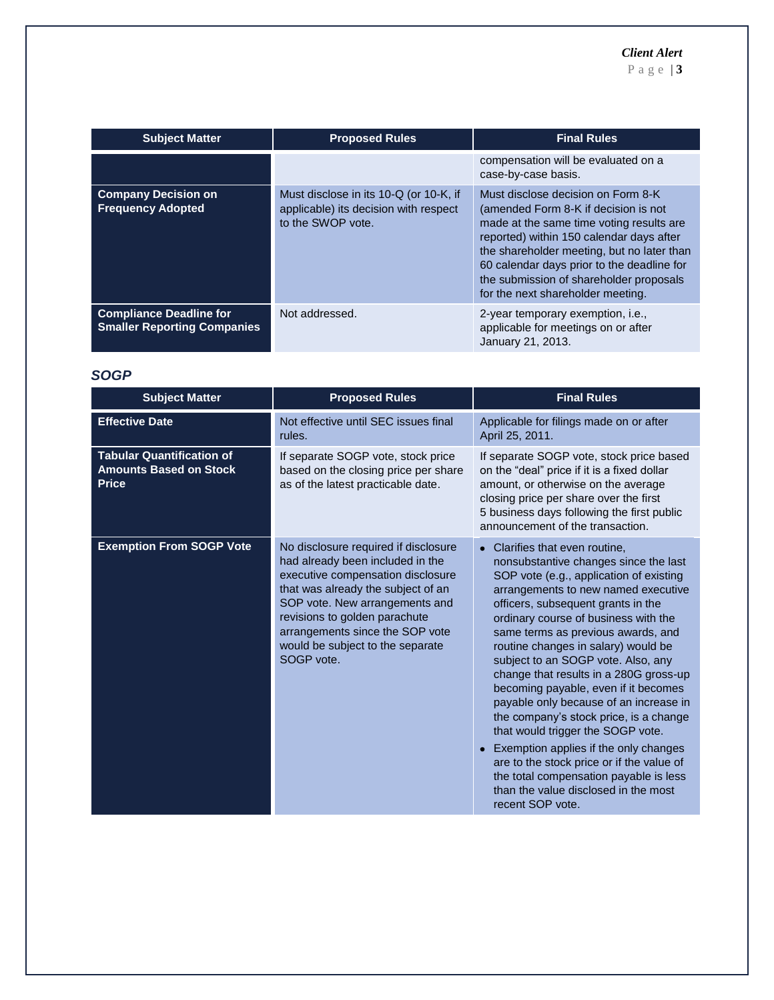P a g e | **3**

| <b>Subject Matter</b>                                                | <b>Proposed Rules</b>                                                                                | <b>Final Rules</b>                                                                                                                                                                                                                                                                                                                             |
|----------------------------------------------------------------------|------------------------------------------------------------------------------------------------------|------------------------------------------------------------------------------------------------------------------------------------------------------------------------------------------------------------------------------------------------------------------------------------------------------------------------------------------------|
|                                                                      |                                                                                                      | compensation will be evaluated on a<br>case-by-case basis.                                                                                                                                                                                                                                                                                     |
| <b>Company Decision on</b><br><b>Frequency Adopted</b>               | Must disclose in its 10-Q (or 10-K, if<br>applicable) its decision with respect<br>to the SWOP vote. | Must disclose decision on Form 8-K<br>(amended Form 8-K if decision is not<br>made at the same time voting results are<br>reported) within 150 calendar days after<br>the shareholder meeting, but no later than<br>60 calendar days prior to the deadline for<br>the submission of shareholder proposals<br>for the next shareholder meeting. |
| <b>Compliance Deadline for</b><br><b>Smaller Reporting Companies</b> | Not addressed.                                                                                       | 2-year temporary exemption, i.e.,<br>applicable for meetings on or after<br>January 21, 2013.                                                                                                                                                                                                                                                  |

#### *SOGP*

| <b>Subject Matter</b>                                                             | <b>Proposed Rules</b>                                                                                                                                                                                                                                                                                       | <b>Final Rules</b>                                                                                                                                                                                                                                                                                                                                                                                                                                                                                                                                                                                                                                                                                                                                              |
|-----------------------------------------------------------------------------------|-------------------------------------------------------------------------------------------------------------------------------------------------------------------------------------------------------------------------------------------------------------------------------------------------------------|-----------------------------------------------------------------------------------------------------------------------------------------------------------------------------------------------------------------------------------------------------------------------------------------------------------------------------------------------------------------------------------------------------------------------------------------------------------------------------------------------------------------------------------------------------------------------------------------------------------------------------------------------------------------------------------------------------------------------------------------------------------------|
| <b>Effective Date</b>                                                             | Not effective until SEC issues final<br>rules.                                                                                                                                                                                                                                                              | Applicable for filings made on or after<br>April 25, 2011.                                                                                                                                                                                                                                                                                                                                                                                                                                                                                                                                                                                                                                                                                                      |
| <b>Tabular Quantification of</b><br><b>Amounts Based on Stock</b><br><b>Price</b> | If separate SOGP vote, stock price<br>based on the closing price per share<br>as of the latest practicable date.                                                                                                                                                                                            | If separate SOGP vote, stock price based<br>on the "deal" price if it is a fixed dollar<br>amount, or otherwise on the average<br>closing price per share over the first<br>5 business days following the first public<br>announcement of the transaction.                                                                                                                                                                                                                                                                                                                                                                                                                                                                                                      |
| <b>Exemption From SOGP Vote</b>                                                   | No disclosure required if disclosure<br>had already been included in the<br>executive compensation disclosure<br>that was already the subject of an<br>SOP vote. New arrangements and<br>revisions to golden parachute<br>arrangements since the SOP vote<br>would be subject to the separate<br>SOGP vote. | Clarifies that even routine,<br>nonsubstantive changes since the last<br>SOP vote (e.g., application of existing<br>arrangements to new named executive<br>officers, subsequent grants in the<br>ordinary course of business with the<br>same terms as previous awards, and<br>routine changes in salary) would be<br>subject to an SOGP vote. Also, any<br>change that results in a 280G gross-up<br>becoming payable, even if it becomes<br>payable only because of an increase in<br>the company's stock price, is a change<br>that would trigger the SOGP vote.<br>Exemption applies if the only changes<br>are to the stock price or if the value of<br>the total compensation payable is less<br>than the value disclosed in the most<br>recent SOP vote. |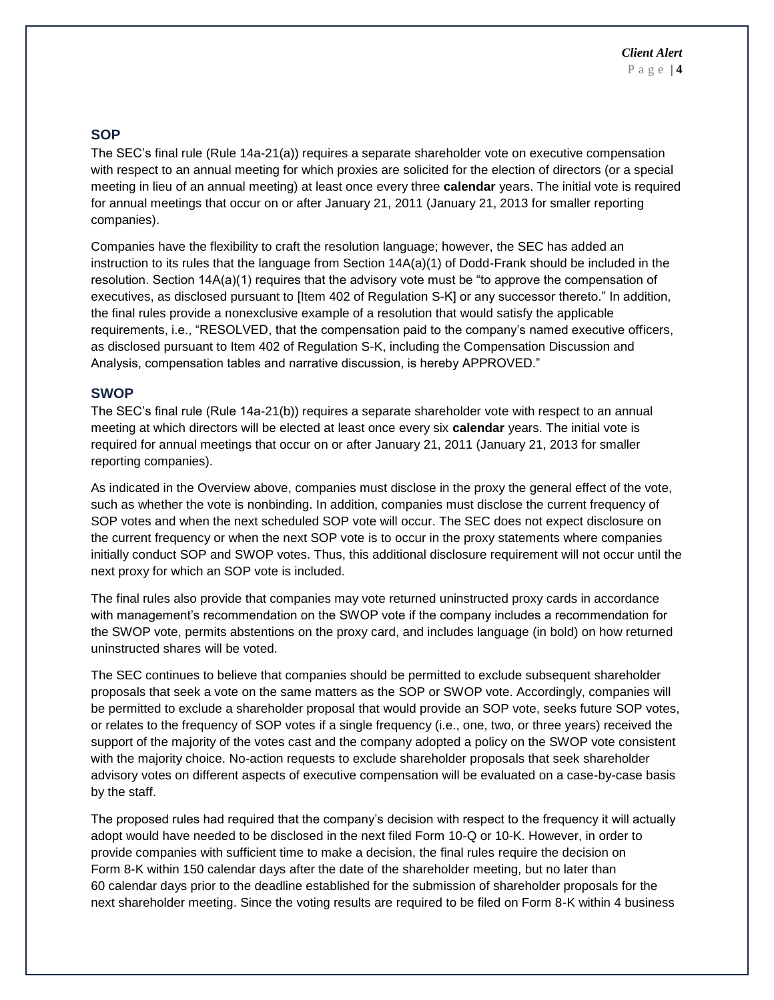#### **SOP**

The SEC's final rule (Rule 14a-21(a)) requires a separate shareholder vote on executive compensation with respect to an annual meeting for which proxies are solicited for the election of directors (or a special meeting in lieu of an annual meeting) at least once every three **calendar** years. The initial vote is required for annual meetings that occur on or after January 21, 2011 (January 21, 2013 for smaller reporting companies).

Companies have the flexibility to craft the resolution language; however, the SEC has added an instruction to its rules that the language from Section 14A(a)(1) of Dodd-Frank should be included in the resolution. Section 14A(a)(1) requires that the advisory vote must be "to approve the compensation of executives, as disclosed pursuant to [Item 402 of Regulation S-K] or any successor thereto." In addition, the final rules provide a nonexclusive example of a resolution that would satisfy the applicable requirements, i.e., "RESOLVED, that the compensation paid to the company's named executive officers, as disclosed pursuant to Item 402 of Regulation S-K, including the Compensation Discussion and Analysis, compensation tables and narrative discussion, is hereby APPROVED."

#### **SWOP**

The SEC's final rule (Rule 14a-21(b)) requires a separate shareholder vote with respect to an annual meeting at which directors will be elected at least once every six **calendar** years. The initial vote is required for annual meetings that occur on or after January 21, 2011 (January 21, 2013 for smaller reporting companies).

As indicated in the Overview above, companies must disclose in the proxy the general effect of the vote, such as whether the vote is nonbinding. In addition, companies must disclose the current frequency of SOP votes and when the next scheduled SOP vote will occur. The SEC does not expect disclosure on the current frequency or when the next SOP vote is to occur in the proxy statements where companies initially conduct SOP and SWOP votes. Thus, this additional disclosure requirement will not occur until the next proxy for which an SOP vote is included.

The final rules also provide that companies may vote returned uninstructed proxy cards in accordance with management's recommendation on the SWOP vote if the company includes a recommendation for the SWOP vote, permits abstentions on the proxy card, and includes language (in bold) on how returned uninstructed shares will be voted.

The SEC continues to believe that companies should be permitted to exclude subsequent shareholder proposals that seek a vote on the same matters as the SOP or SWOP vote. Accordingly, companies will be permitted to exclude a shareholder proposal that would provide an SOP vote, seeks future SOP votes, or relates to the frequency of SOP votes if a single frequency (i.e., one, two, or three years) received the support of the majority of the votes cast and the company adopted a policy on the SWOP vote consistent with the majority choice. No-action requests to exclude shareholder proposals that seek shareholder advisory votes on different aspects of executive compensation will be evaluated on a case-by-case basis by the staff.

The proposed rules had required that the company's decision with respect to the frequency it will actually adopt would have needed to be disclosed in the next filed Form 10-Q or 10-K. However, in order to provide companies with sufficient time to make a decision, the final rules require the decision on Form 8-K within 150 calendar days after the date of the shareholder meeting, but no later than 60 calendar days prior to the deadline established for the submission of shareholder proposals for the next shareholder meeting. Since the voting results are required to be filed on Form 8-K within 4 business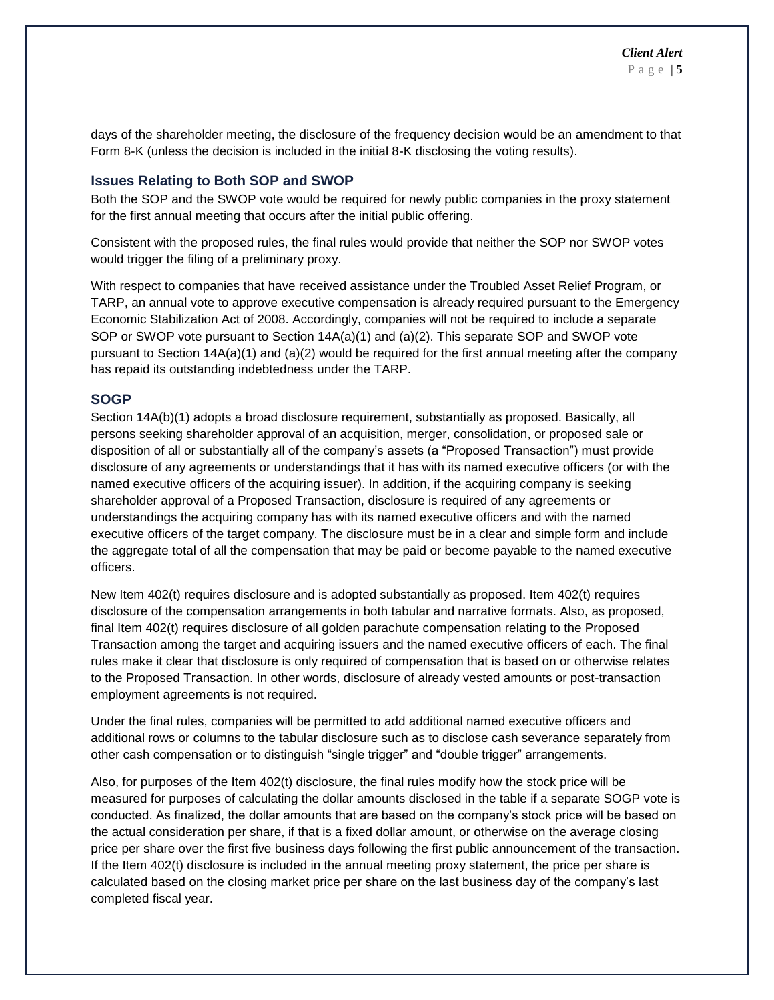days of the shareholder meeting, the disclosure of the frequency decision would be an amendment to that Form 8-K (unless the decision is included in the initial 8-K disclosing the voting results).

#### **Issues Relating to Both SOP and SWOP**

Both the SOP and the SWOP vote would be required for newly public companies in the proxy statement for the first annual meeting that occurs after the initial public offering.

Consistent with the proposed rules, the final rules would provide that neither the SOP nor SWOP votes would trigger the filing of a preliminary proxy.

With respect to companies that have received assistance under the Troubled Asset Relief Program, or TARP, an annual vote to approve executive compensation is already required pursuant to the Emergency Economic Stabilization Act of 2008. Accordingly, companies will not be required to include a separate SOP or SWOP vote pursuant to Section 14A(a)(1) and (a)(2). This separate SOP and SWOP vote pursuant to Section 14A(a)(1) and (a)(2) would be required for the first annual meeting after the company has repaid its outstanding indebtedness under the TARP.

#### **SOGP**

Section 14A(b)(1) adopts a broad disclosure requirement, substantially as proposed. Basically, all persons seeking shareholder approval of an acquisition, merger, consolidation, or proposed sale or disposition of all or substantially all of the company's assets (a "Proposed Transaction") must provide disclosure of any agreements or understandings that it has with its named executive officers (or with the named executive officers of the acquiring issuer). In addition, if the acquiring company is seeking shareholder approval of a Proposed Transaction, disclosure is required of any agreements or understandings the acquiring company has with its named executive officers and with the named executive officers of the target company. The disclosure must be in a clear and simple form and include the aggregate total of all the compensation that may be paid or become payable to the named executive officers.

New Item 402(t) requires disclosure and is adopted substantially as proposed. Item 402(t) requires disclosure of the compensation arrangements in both tabular and narrative formats. Also, as proposed, final Item 402(t) requires disclosure of all golden parachute compensation relating to the Proposed Transaction among the target and acquiring issuers and the named executive officers of each. The final rules make it clear that disclosure is only required of compensation that is based on or otherwise relates to the Proposed Transaction. In other words, disclosure of already vested amounts or post-transaction employment agreements is not required.

Under the final rules, companies will be permitted to add additional named executive officers and additional rows or columns to the tabular disclosure such as to disclose cash severance separately from other cash compensation or to distinguish "single trigger" and "double trigger" arrangements.

Also, for purposes of the Item 402(t) disclosure, the final rules modify how the stock price will be measured for purposes of calculating the dollar amounts disclosed in the table if a separate SOGP vote is conducted. As finalized, the dollar amounts that are based on the company's stock price will be based on the actual consideration per share, if that is a fixed dollar amount, or otherwise on the average closing price per share over the first five business days following the first public announcement of the transaction. If the Item 402(t) disclosure is included in the annual meeting proxy statement, the price per share is calculated based on the closing market price per share on the last business day of the company's last completed fiscal year.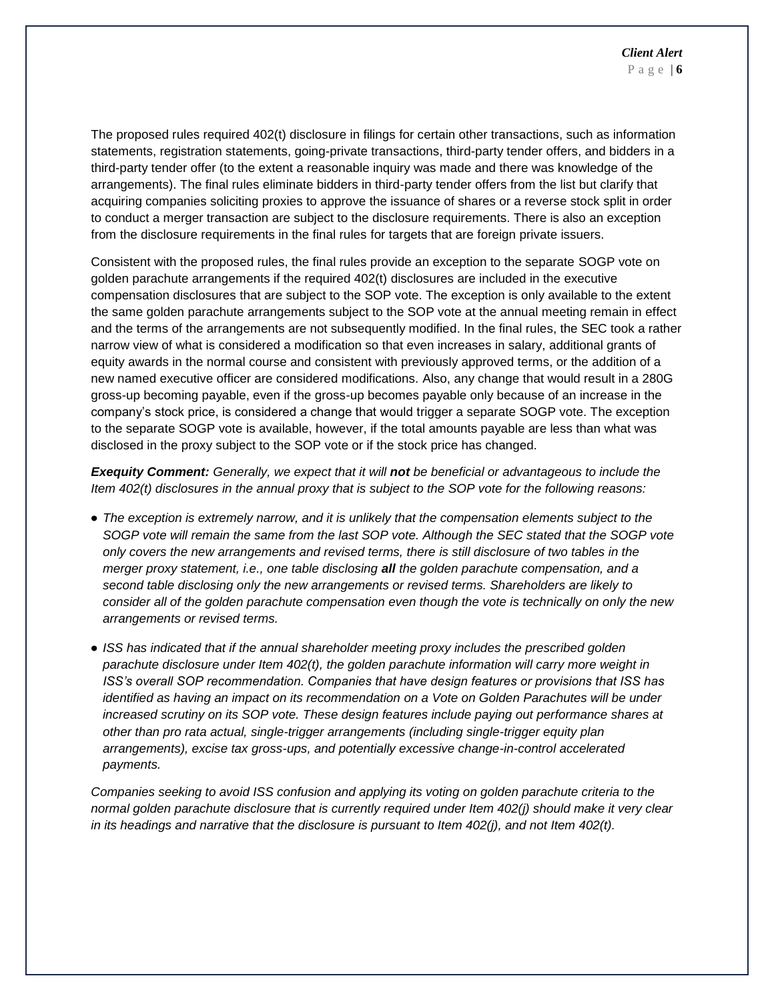The proposed rules required 402(t) disclosure in filings for certain other transactions, such as information statements, registration statements, going-private transactions, third-party tender offers, and bidders in a third-party tender offer (to the extent a reasonable inquiry was made and there was knowledge of the arrangements). The final rules eliminate bidders in third-party tender offers from the list but clarify that acquiring companies soliciting proxies to approve the issuance of shares or a reverse stock split in order to conduct a merger transaction are subject to the disclosure requirements. There is also an exception from the disclosure requirements in the final rules for targets that are foreign private issuers.

Consistent with the proposed rules, the final rules provide an exception to the separate SOGP vote on golden parachute arrangements if the required 402(t) disclosures are included in the executive compensation disclosures that are subject to the SOP vote. The exception is only available to the extent the same golden parachute arrangements subject to the SOP vote at the annual meeting remain in effect and the terms of the arrangements are not subsequently modified. In the final rules, the SEC took a rather narrow view of what is considered a modification so that even increases in salary, additional grants of equity awards in the normal course and consistent with previously approved terms, or the addition of a new named executive officer are considered modifications. Also, any change that would result in a 280G gross-up becoming payable, even if the gross-up becomes payable only because of an increase in the company's stock price, is considered a change that would trigger a separate SOGP vote. The exception to the separate SOGP vote is available, however, if the total amounts payable are less than what was disclosed in the proxy subject to the SOP vote or if the stock price has changed.

*Exequity Comment: Generally, we expect that it will not be beneficial or advantageous to include the Item 402(t) disclosures in the annual proxy that is subject to the SOP vote for the following reasons:*

- *The exception is extremely narrow, and it is unlikely that the compensation elements subject to the SOGP vote will remain the same from the last SOP vote. Although the SEC stated that the SOGP vote only covers the new arrangements and revised terms, there is still disclosure of two tables in the merger proxy statement, i.e., one table disclosing all the golden parachute compensation, and a second table disclosing only the new arrangements or revised terms. Shareholders are likely to consider all of the golden parachute compensation even though the vote is technically on only the new arrangements or revised terms.*
- *ISS has indicated that if the annual shareholder meeting proxy includes the prescribed golden parachute disclosure under Item 402(t), the golden parachute information will carry more weight in ISS's overall SOP recommendation. Companies that have design features or provisions that ISS has identified as having an impact on its recommendation on a Vote on Golden Parachutes will be under*  increased scrutiny on its SOP vote. These design features include paying out performance shares at *other than pro rata actual, single-trigger arrangements (including single-trigger equity plan arrangements), excise tax gross-ups, and potentially excessive change-in-control accelerated payments.*

*Companies seeking to avoid ISS confusion and applying its voting on golden parachute criteria to the normal golden parachute disclosure that is currently required under Item 402(j) should make it very clear in its headings and narrative that the disclosure is pursuant to Item 402(j), and not Item 402(t).*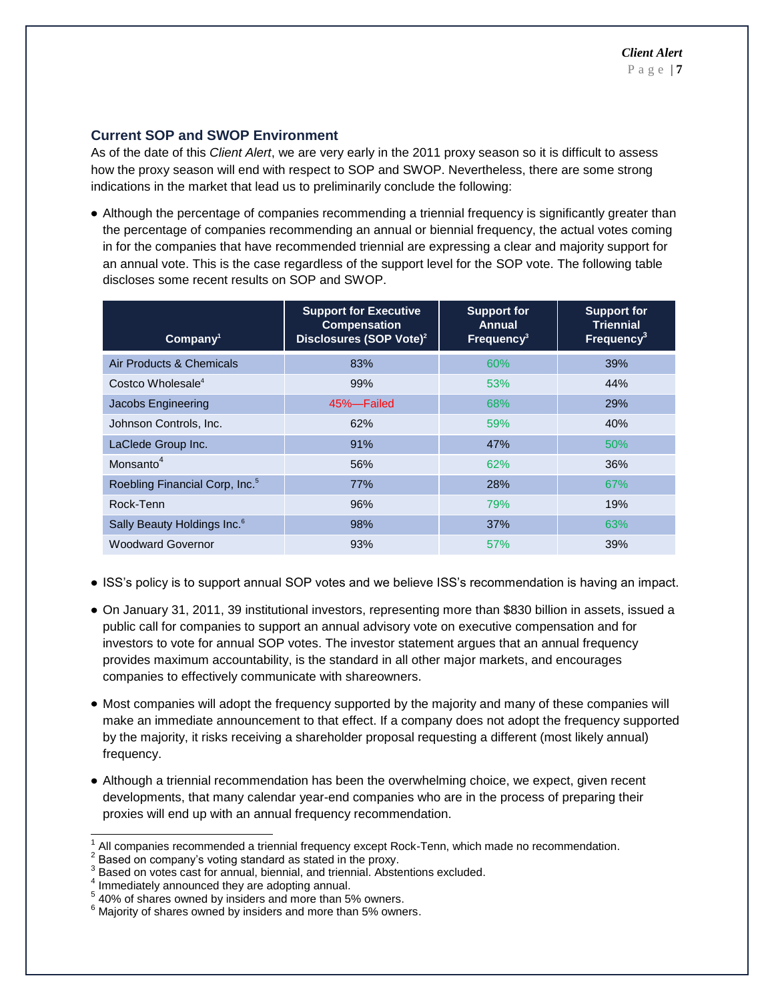#### **Current SOP and SWOP Environment**

As of the date of this *Client Alert*, we are very early in the 2011 proxy season so it is difficult to assess how the proxy season will end with respect to SOP and SWOP. Nevertheless, there are some strong indications in the market that lead us to preliminarily conclude the following:

Although the percentage of companies recommending a triennial frequency is significantly greater than the percentage of companies recommending an annual or biennial frequency, the actual votes coming in for the companies that have recommended triennial are expressing a clear and majority support for an annual vote. This is the case regardless of the support level for the SOP vote. The following table discloses some recent results on SOP and SWOP.

| Company <sup>1</sup>                       | <b>Support for Executive</b><br><b>Compensation</b><br>Disclosures (SOP Vote) <sup>2</sup> | <b>Support for</b><br>Annual<br>Frequency <sup>3</sup> | <b>Support for</b><br><b>Triennial</b><br>Frequency <sup>3</sup> |
|--------------------------------------------|--------------------------------------------------------------------------------------------|--------------------------------------------------------|------------------------------------------------------------------|
| Air Products & Chemicals                   | 83%                                                                                        | 60%                                                    | 39%                                                              |
| Costco Wholesale <sup>4</sup>              | 99%                                                                                        | 53%                                                    | 44%                                                              |
| Jacobs Engineering                         | 45%-Failed                                                                                 | 68%                                                    | 29%                                                              |
| Johnson Controls, Inc.                     | 62%                                                                                        | 59%                                                    | 40%                                                              |
| LaClede Group Inc.                         | 91%                                                                                        | 47%                                                    | 50%                                                              |
| Monsanto <sup>4</sup>                      | 56%                                                                                        | 62%                                                    | 36%                                                              |
| Roebling Financial Corp, Inc. <sup>5</sup> | 77%                                                                                        | 28%                                                    | 67%                                                              |
| Rock-Tenn                                  | 96%                                                                                        | 79%                                                    | 19%                                                              |
| Sally Beauty Holdings Inc. <sup>6</sup>    | 98%                                                                                        | 37%                                                    | 63%                                                              |
| <b>Woodward Governor</b>                   | 93%                                                                                        | 57%                                                    | 39%                                                              |

- ISS's policy is to support annual SOP votes and we believe ISS's recommendation is having an impact.
- On January 31, 2011, 39 institutional investors, representing more than \$830 billion in assets, issued a public call for companies to support an annual advisory vote on executive compensation and for investors to vote for annual SOP votes. The investor statement argues that an annual frequency provides maximum accountability, is the standard in all other major markets, and encourages companies to effectively communicate with shareowners.
- Most companies will adopt the frequency supported by the majority and many of these companies will make an immediate announcement to that effect. If a company does not adopt the frequency supported by the majority, it risks receiving a shareholder proposal requesting a different (most likely annual) frequency.
- Although a triennial recommendation has been the overwhelming choice, we expect, given recent developments, that many calendar year-end companies who are in the process of preparing their proxies will end up with an annual frequency recommendation.

l 1 All companies recommended a triennial frequency except Rock-Tenn, which made no recommendation.

<sup>2</sup> Based on company's voting standard as stated in the proxy.

<sup>3</sup> Based on votes cast for annual, biennial, and triennial. Abstentions excluded.

<sup>4</sup> Immediately announced they are adopting annual.

<sup>&</sup>lt;sup>5</sup> 40% of shares owned by insiders and more than 5% owners.

 $6$  Majority of shares owned by insiders and more than 5% owners.